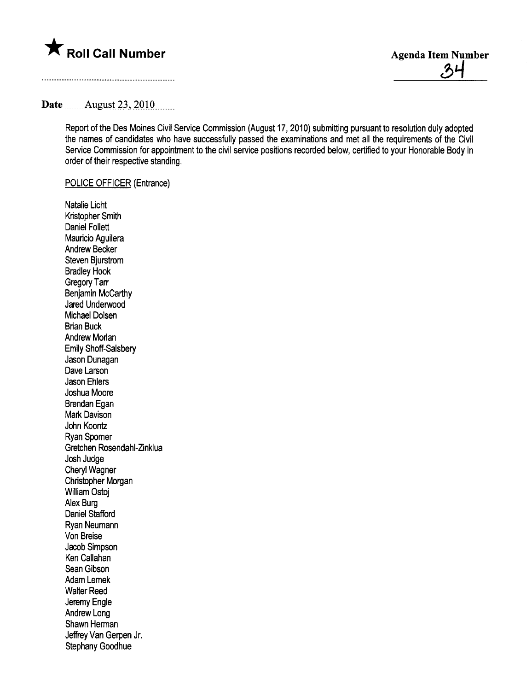

# Date .\_\_\_\_\_A:igllSt-2J...iQl.Q........

Report of the Des Moines Civil Service Commission (August 17, 2010) submitting pursuant to resolution duly adopted the names of candidates who have successfully passed the examinations and met all the requirements of the Civil Service Commission for appointment to the civil service positions recorded below, certified to your Honorable Body in order of their respective standing.

### POLICE OFFICER (Entrance)

Natalie Licht Kristopher Smith Daniel Follett Mauricio Aguilera Andrew Becker Steven Bjurstrom Bradley Hook Gregory Tarr Benjamin McCarthy Jared Underwood Michael Dolsen Brian Buck Andrew Morlan Emily Shoff-Salsbery Jason Dunagan Dave Larson Jason Ehlers Joshua Moore Brendan Egan Mark Davison John Koontz Ryan Spomer Gretchen Rosendahl-Zinklua Josh Judge Cheryl Wagner Christopher Morgan Willam Ostoj Alex Burg Daniel Stafford Ryan Neumann Von Breise Jacob Simpson Ken Callahan Sean Gibson Adam Lemek Walter Reed Jeremy Engle Andrew Long Shawn Herman Jeffrey Van Gerpen Jr. Stephany Goodhue